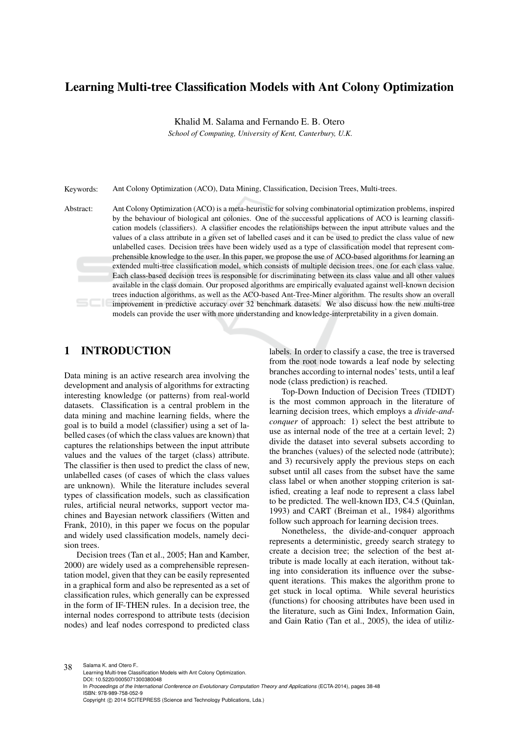# Learning Multi-tree Classification Models with Ant Colony Optimization

Khalid M. Salama and Fernando E. B. Otero

*School of Computing, University of Kent, Canterbury, U.K.*

Keywords: Ant Colony Optimization (ACO), Data Mining, Classification, Decision Trees, Multi-trees.

Abstract: Ant Colony Optimization (ACO) is a meta-heuristic for solving combinatorial optimization problems, inspired by the behaviour of biological ant colonies. One of the successful applications of ACO is learning classification models (classifiers). A classifier encodes the relationships between the input attribute values and the values of a class attribute in a given set of labelled cases and it can be used to predict the class value of new unlabelled cases. Decision trees have been widely used as a type of classification model that represent comprehensible knowledge to the user. In this paper, we propose the use of ACO-based algorithms for learning an extended multi-tree classification model, which consists of multiple decision trees, one for each class value. Each class-based decision trees is responsible for discriminating between its class value and all other values available in the class domain. Our proposed algorithms are empirically evaluated against well-known decision trees induction algorithms, as well as the ACO-based Ant-Tree-Miner algorithm. The results show an overall improvement in predictive accuracy over 32 benchmark datasets. We also discuss how the new multi-tree models can provide the user with more understanding and knowledge-interpretability in a given domain.

## 1 INTRODUCTION

Data mining is an active research area involving the development and analysis of algorithms for extracting interesting knowledge (or patterns) from real-world datasets. Classification is a central problem in the data mining and machine learning fields, where the goal is to build a model (classifier) using a set of labelled cases (of which the class values are known) that captures the relationships between the input attribute values and the values of the target (class) attribute. The classifier is then used to predict the class of new, unlabelled cases (of cases of which the class values are unknown). While the literature includes several types of classification models, such as classification rules, artificial neural networks, support vector machines and Bayesian network classifiers (Witten and Frank, 2010), in this paper we focus on the popular and widely used classification models, namely decision trees.

Decision trees (Tan et al., 2005; Han and Kamber, 2000) are widely used as a comprehensible representation model, given that they can be easily represented in a graphical form and also be represented as a set of classification rules, which generally can be expressed in the form of IF-THEN rules. In a decision tree, the internal nodes correspond to attribute tests (decision nodes) and leaf nodes correspond to predicted class

labels. In order to classify a case, the tree is traversed from the root node towards a leaf node by selecting branches according to internal nodes' tests, until a leaf node (class prediction) is reached.

Top-Down Induction of Decision Trees (TDIDT) is the most common approach in the literature of learning decision trees, which employs a *divide-andconquer* of approach: 1) select the best attribute to use as internal node of the tree at a certain level; 2) divide the dataset into several subsets according to the branches (values) of the selected node (attribute); and 3) recursively apply the previous steps on each subset until all cases from the subset have the same class label or when another stopping criterion is satisfied, creating a leaf node to represent a class label to be predicted. The well-known ID3, C4.5 (Quinlan, 1993) and CART (Breiman et al., 1984) algorithms follow such approach for learning decision trees.

Nonetheless, the divide-and-conquer approach represents a deterministic, greedy search strategy to create a decision tree; the selection of the best attribute is made locally at each iteration, without taking into consideration its influence over the subsequent iterations. This makes the algorithm prone to get stuck in local optima. While several heuristics (functions) for choosing attributes have been used in the literature, such as Gini Index, Information Gain, and Gain Ratio (Tan et al., 2005), the idea of utiliz-

38 Salama K. and Otero F.. Learning Multi-tree Classification Models with Ant Colony Optimization. DOI: 10.5220/0005071300380048 In *Proceedings of the International Conference on Evolutionary Computation Theory and Applications* (ECTA-2014), pages 38-48 ISBN: 978-989-758-052-9 Copyright © 2014 SCITEPRESS (Science and Technology Publications, Lda.)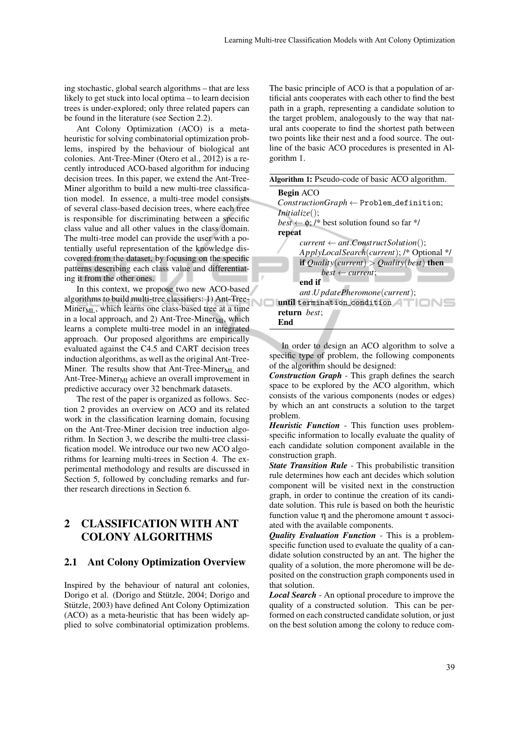ing stochastic, global search algorithms – that are less likely to get stuck into local optima – to learn decision trees is under-explored; only three related papers can be found in the literature (see Section 2.2).

Ant Colony Optimization (ACO) is a metaheuristic for solving combinatorial optimization problems, inspired by the behaviour of biological ant colonies. Ant-Tree-Miner (Otero et al., 2012) is a recently introduced ACO-based algorithm for inducing decision trees. In this paper, we extend the Ant-Tree-Miner algorithm to build a new multi-tree classification model. In essence, a multi-tree model consists of several class-based decision trees, where each tree is responsible for discriminating between a specific class value and all other values in the class domain. The multi-tree model can provide the user with a potentially useful representation of the knowledge discovered from the dataset, by focusing on the specific patterns describing each class value and differentiating it from the other ones.

In this context, we propose two new ACO-based algorithms to build multi-tree classifiers: 1) Ant-Tree- $Miner_{ML}$ , which learns one class-based tree at a time in a local approach, and 2) Ant-Tree-Miner $_{MI}$ , which learns a complete multi-tree model in an integrated approach. Our proposed algorithms are empirically evaluated against the C4.5 and CART decision trees induction algorithms, as well as the original Ant-Tree-Miner. The results show that Ant-Tree-Miner $_{ML}$  and Ant-Tree-Miner $_{\text{MI}}$  achieve an overall improvement in predictive accuracy over 32 benchmark datasets.

The rest of the paper is organized as follows. Section 2 provides an overview on ACO and its related work in the classification learning domain, focusing on the Ant-Tree-Miner decision tree induction algorithm. In Section 3, we describe the multi-tree classification model. We introduce our two new ACO algorithms for learning multi-trees in Section 4. The experimental methodology and results are discussed in Section 5, followed by concluding remarks and further research directions in Section 6.

# 2 CLASSIFICATION WITH ANT COLONY ALGORITHMS

#### 2.1 Ant Colony Optimization Overview

Inspired by the behaviour of natural ant colonies, Dorigo et al. (Dorigo and Stützle, 2004; Dorigo and Stützle, 2003) have defined Ant Colony Optimization (ACO) as a meta-heuristic that has been widely applied to solve combinatorial optimization problems.

The basic principle of ACO is that a population of artificial ants cooperates with each other to find the best path in a graph, representing a candidate solution to the target problem, analogously to the way that natural ants cooperate to find the shortest path between two points like their nest and a food source. The outline of the basic ACO procedures is presented in Algorithm 1.

| <b>Algorithm 1:</b> Pseudo-code of basic ACO algorithm.          |
|------------------------------------------------------------------|
| <b>Begin ACO</b>                                                 |
| $ConstructionGraph \leftarrow Problem\{\mathsf{definition}\}\;$  |
| <i>Initialize()</i> ;                                            |
| <i>best</i> $\leftarrow \phi$ ; /* best solution found so far */ |
| repeat                                                           |
| $current \leftarrow ant.ConstructSolution$ ;                     |
| ApplyLocalSearch(current); /* Optional */                        |
| <b>if</b> Quality(current) > Quality(best) <b>then</b>           |
| $best \leftarrow current$ ;                                      |
| end if                                                           |
| ant.U pdatePheromone(current);                                   |
| until termination_condition                                      |
| <b>return</b> best;                                              |
| End                                                              |

In order to design an ACO algorithm to solve a specific type of problem, the following components of the algorithm should be designed:

*Construction Graph* - This graph defines the search space to be explored by the ACO algorithm, which consists of the various components (nodes or edges) by which an ant constructs a solution to the target problem.

*Heuristic Function* - This function uses problemspecific information to locally evaluate the quality of each candidate solution component available in the construction graph.

*State Transition Rule* - This probabilistic transition rule determines how each ant decides which solution component will be visited next in the construction graph, in order to continue the creation of its candidate solution. This rule is based on both the heuristic function value η and the pheromone amount τ associated with the available components.

*Quality Evaluation Function* - This is a problemspecific function used to evaluate the quality of a candidate solution constructed by an ant. The higher the quality of a solution, the more pheromone will be deposited on the construction graph components used in that solution.

*Local Search* - An optional procedure to improve the quality of a constructed solution. This can be performed on each constructed candidate solution, or just on the best solution among the colony to reduce com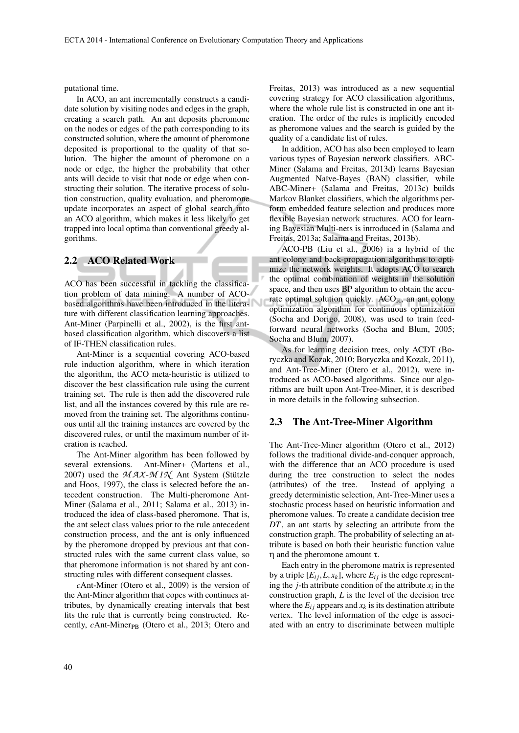putational time.

In ACO, an ant incrementally constructs a candidate solution by visiting nodes and edges in the graph, creating a search path. An ant deposits pheromone on the nodes or edges of the path corresponding to its constructed solution, where the amount of pheromone deposited is proportional to the quality of that solution. The higher the amount of pheromone on a node or edge, the higher the probability that other ants will decide to visit that node or edge when constructing their solution. The iterative process of solution construction, quality evaluation, and pheromone update incorporates an aspect of global search into an ACO algorithm, which makes it less likely to get trapped into local optima than conventional greedy algorithms.

#### 2.2 ACO Related Work

ACO has been successful in tackling the classification problem of data mining. A number of ACObased algorithms have been introduced in the literature with different classification learning approaches. Ant-Miner (Parpinelli et al., 2002), is the first antbased classification algorithm, which discovers a list of IF-THEN classification rules.

Ant-Miner is a sequential covering ACO-based rule induction algorithm, where in which iteration the algorithm, the ACO meta-heuristic is utilized to discover the best classification rule using the current training set. The rule is then add the discovered rule list, and all the instances covered by this rule are removed from the training set. The algorithms continuous until all the training instances are covered by the discovered rules, or until the maximum number of iteration is reached.

The Ant-Miner algorithm has been followed by several extensions. Ant-Miner+ (Martens et al., 2007) used the  $MAX-MIX$  Ant System (Stützle and Hoos, 1997), the class is selected before the antecedent construction. The Multi-pheromone Ant-Miner (Salama et al., 2011; Salama et al., 2013) introduced the idea of class-based pheromone. That is, the ant select class values prior to the rule antecedent construction process, and the ant is only influenced by the pheromone dropped by previous ant that constructed rules with the same current class value, so that pheromone information is not shared by ant constructing rules with different consequent classes.

*c*Ant-Miner (Otero et al., 2009) is the version of the Ant-Miner algorithm that copes with continues attributes, by dynamically creating intervals that best fits the rule that is currently being constructed. Recently, *c*Ant-Miner<sub>PB</sub> (Otero et al., 2013; Otero and Freitas, 2013) was introduced as a new sequential covering strategy for ACO classification algorithms, where the whole rule list is constructed in one ant iteration. The order of the rules is implicitly encoded as pheromone values and the search is guided by the quality of a candidate list of rules.

In addition, ACO has also been employed to learn various types of Bayesian network classifiers. ABC-Miner (Salama and Freitas, 2013d) learns Bayesian Augmented Naïve-Bayes (BAN) classifier, while ABC-Miner+ (Salama and Freitas, 2013c) builds Markov Blanket classifiers, which the algorithms perform embedded feature selection and produces more flexible Bayesian network structures. ACO for learning Bayesian Multi-nets is introduced in (Salama and Freitas, 2013a; Salama and Freitas, 2013b).

ACO-PB (Liu et al., 2006) ia a hybrid of the ant colony and back-propagation algorithms to optimize the network weights. It adopts ACO to search the optimal combination of weights in the solution space, and then uses BP algorithm to obtain the accurate optimal solution quickly.  $ACO_{\mathbb{R}}$ , an ant colony optimization algorithm for continuous optimization (Socha and Dorigo, 2008), was used to train feedforward neural networks (Socha and Blum, 2005; Socha and Blum, 2007).

As for learning decision trees, only ACDT (Boryczka and Kozak, 2010; Boryczka and Kozak, 2011), and Ant-Tree-Miner (Otero et al., 2012), were introduced as ACO-based algorithms. Since our algorithms are built upon Ant-Tree-Miner, it is described in more details in the following subsection.

#### 2.3 The Ant-Tree-Miner Algorithm

The Ant-Tree-Miner algorithm (Otero et al., 2012) follows the traditional divide-and-conquer approach, with the difference that an ACO procedure is used during the tree construction to select the nodes (attributes) of the tree. Instead of applying a greedy deterministic selection, Ant-Tree-Miner uses a stochastic process based on heuristic information and pheromone values. To create a candidate decision tree *DT*, an ant starts by selecting an attribute from the construction graph. The probability of selecting an attribute is based on both their heuristic function value η and the pheromone amount τ.

Each entry in the pheromone matrix is represented by a triple  $[E_{ij}, L, x_k]$ , where  $E_{ij}$  is the edge representing the *j*-th attribute condition of the attribute  $x_i$  in the construction graph, *L* is the level of the decision tree where the  $E_i$  appears and  $x_k$  is its destination attribute vertex. The level information of the edge is associated with an entry to discriminate between multiple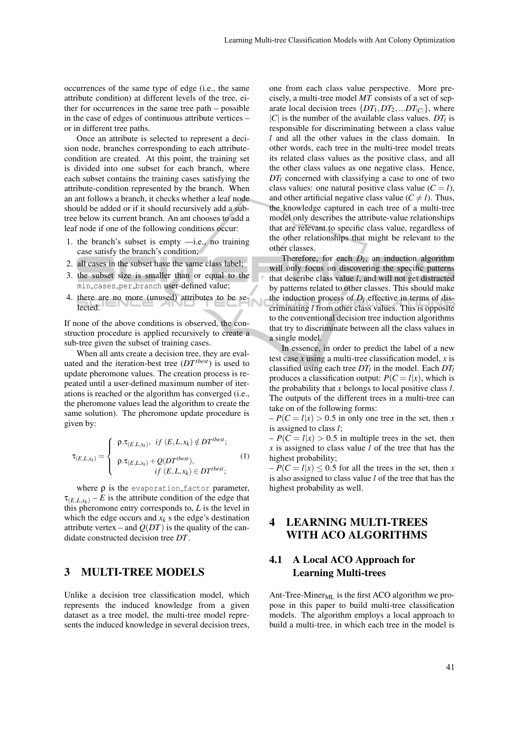occurrences of the same type of edge (i.e., the same attribute condition) at different levels of the tree, either for occurrences in the same tree path – possible in the case of edges of continuous attribute vertices – or in different tree paths.

Once an attribute is selected to represent a decision node, branches corresponding to each attributecondition are created. At this point, the training set is divided into one subset for each branch, where each subset contains the training cases satisfying the attribute-condition represented by the branch. When an ant follows a branch, it checks whether a leaf node should be added or if it should recursively add a subtree below its current branch. An ant chooses to add a leaf node if one of the following conditions occur:

- 1. the branch's subset is empty —i.e., no training case satisfy the branch's condition;
- 2. all cases in the subset have the same class label;
- 3. the subset size is smaller than or equal to the min cases per branch user-defined value;
- 4. there are no more (unused) attributes to be selected.

If none of the above conditions is observed, the construction procedure is applied recursively to create a sub-tree given the subset of training cases.

When all ants create a decision tree, they are evaluated and the iteration-best tree (*DTtbest*) is used to update pheromone values. The creation process is repeated until a user-defined maximum number of iterations is reached or the algorithm has converged (i.e., the pheromone values lead the algorithm to create the same solution). The pheromone update procedure is given by:

$$
\tau_{(E,L,x_k)} = \begin{cases}\n\rho.\tau_{(E,L,x_k)}, & if (E,L,x_k) \notin DT^{ibest}; \\
\rho.\tau_{(E,L,x_k)} + Q(DT^{ibest}), \\
& if (E,L,x_k) \in DT^{ibest};\n\end{cases}
$$
\n(1)

where  $\rho$  is the evaporation factor parameter,  $\tau_{(E,L,x_k)} - E$  is the attribute condition of the edge that this pheromone entry corresponds to, *L* is the level in which the edge occurs and  $x_k$  s the edge's destination attribute vertex – and  $Q(DT)$  is the quality of the candidate constructed decision tree *DT*.

### 3 MULTI-TREE MODELS

Unlike a decision tree classification model, which represents the induced knowledge from a given dataset as a tree model, the multi-tree model represents the induced knowledge in several decision trees,

one from each class value perspective. More precisely, a multi-tree model *MT* consists of a set of separate local decision trees  $\{DT_1, DT_2, ... DT_{|C|}\}$ , where  $|C|$  is the number of the available class values.  $DT_l$  is responsible for discriminating between a class value *l* and all the other values in the class domain. In other words, each tree in the multi-tree model treats its related class values as the positive class, and all the other class values as one negative class. Hence, *DT*<sup>*l*</sup> concerned with classifying a case to one of two class values: one natural positive class value  $(C = l)$ , and other artificial negative class value ( $C \neq l$ ). Thus, the knowledge captured in each tree of a multi-tree model only describes the attribute-value relationships that are relevant to specific class value, regardless of the other relationships that might be relevant to the other classes.

Therefore, for each  $D_l$ , an induction algorithm will only focus on discovering the specific patterns that describe class value *l*, and will not get distracted by patterns related to other classes. This should make the induction process of  $D_l$  effective in terms of discriminating *l* from other class values. This is opposite to the conventional decision tree induction algorithms that try to discriminate between all the class values in a single model.

In essence, in order to predict the label of a new test case *x* using a multi-tree classification model, *x* is classified using each tree *DT<sup>l</sup>* in the model. Each *DT<sup>l</sup>* produces a classification output:  $P(C = l|x)$ , which is the probability that *x* belongs to local positive class *l*. The outputs of the different trees in a multi-tree can take on of the following forms:

 $-P(C = l|x) > 0.5$  in only one tree in the set, then *x* is assigned to class *l*;

 $-P(C = l|x) > 0.5$  in multiple trees in the set, then *x* is assigned to class value *l* of the tree that has the highest probability;

 $-P(C = l|x) \le 0.5$  for all the trees in the set, then *x* is also assigned to class value *l* of the tree that has the highest probability as well.

## 4 LEARNING MULTI-TREES WITH ACO ALGORITHMS

### 4.1 A Local ACO Approach for Learning Multi-trees

Ant-Tree-Miner $_{ML}$  is the first ACO algorithm we propose in this paper to build multi-tree classification models. The algorithm employs a local approach to build a multi-tree, in which each tree in the model is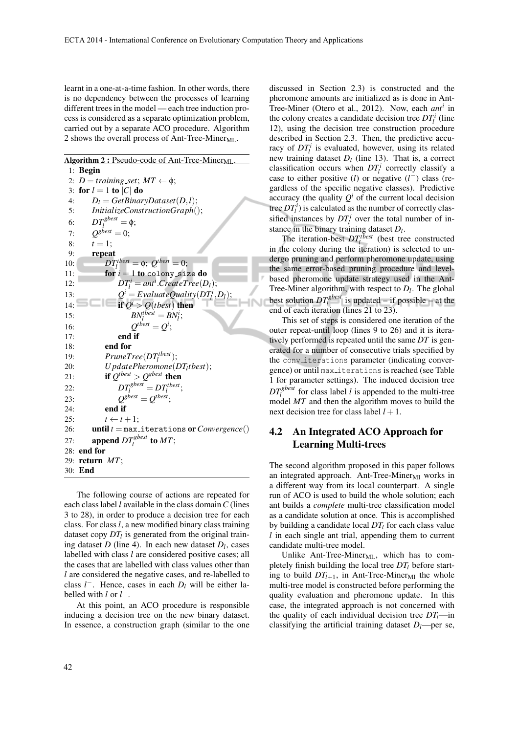learnt in a one-at-a-time fashion. In other words, there is no dependency between the processes of learning different trees in the model — each tree induction process is considered as a separate optimization problem, carried out by a separate ACO procedure. Algorithm 2 shows the overall process of Ant-Tree-Miner<sub>ML</sub>.

Algorithm 2 : Pseudo-code of Ant-Tree-Miner<sub>ML</sub>

1: Begin 2:  $D = training_set$ ;  $MT \leftarrow \phi$ ; 3: for  $l = 1$  to  $|C|$  do 4:  $D_l = GetBinaryDataset(D, l);$ 5: *InitializeConstructionGraph*(); 6:  $DT_l^{gbest} = \phi;$ 7:  $Q^{gbest} = 0;$ 8:  $t = 1$ ; 9: repeat 10:  $DT_l^{thest} = \phi$ ;  $Q^{thest} = 0$ ; 11: **for**  $i = 1$  to colony size do 12:  $DT_l^i = ant^i$ .  $CreateTree(D_l);$ 13: *Q*  $\hat{I} = E$ valuateQuality $(DT_l^i, D_l)$ ; 14: **if**  $Q^i > Q(tbest)$  then 15:  $BN_l^{tbest} = BN_l^i;$ 16: *Q*  $^{tbest} = Q^i;$ 17: end if 18: end for 19:  $PruneTree(DT_l^{thest});$ 20: *U pdatePheromone*(*DT<sup>l</sup> tbest*); 21: **if**  $Q^{tbest} > Q^{sbest}$  then 22:  $DT_l^{gbest} = DT_l^{tbest};$  $\frac{I_l}{g^{best}} = Q^{tbest};$ 23: *Q* 24: **end if**<br>25:  $t \leftarrow t$  $t \leftarrow t + 1;$ 26: until *t* = max iterations or*Convergence*() 27: **append**  $DT_l^{gbest}$  to MT; 28: end for 29: return *MT*; 30: End

The following course of actions are repeated for each class label *l* available in the class domain*C* (lines 3 to 28), in order to produce a decision tree for each class. For class *l*, a new modified binary class training dataset copy *DT<sup>l</sup>* is generated from the original training dataset  $D$  (line 4). In each new dataset  $D_l$ , cases labelled with class *l* are considered positive cases; all the cases that are labelled with class values other than *l* are considered the negative cases, and re-labelled to class  $l^-$ . Hence, cases in each  $D_l$  will be either labelled with *l* or *l* −.

At this point, an ACO procedure is responsible inducing a decision tree on the new binary dataset. In essence, a construction graph (similar to the one discussed in Section 2.3) is constructed and the pheromone amounts are initialized as is done in Ant-Tree-Miner (Otero et al., 2012). Now, each *ant<sup>i</sup>* in the colony creates a candidate decision tree  $DT_l^i$  (line 12), using the decision tree construction procedure described in Section 2.3. Then, the predictive accuracy of  $DT_l^i$  is evaluated, however, using its related new training dataset  $D_l$  (line 13). That is, a correct classification occurs when  $DT_l^i$  correctly classify a case to either positive (*l*) or negative  $(l^-)$  class (regardless of the specific negative classes). Predictive accuracy (the quality  $Q^i$  of the current local decision tree  $DT_l^i$ ) is calculated as the number of correctly classified instances by  $DT_l^i$  over the total number of instance in the binary training dataset *D<sup>l</sup>* .

The iteration-best  $DT_l^{thest}$  (best tree constructed in the colony during the iteration) is selected to undergo pruning and perform pheromone update, using the same error-based pruning procedure and levelbased pheromone update strategy used in the Ant-Tree-Miner algorithm, with respect to *D<sup>l</sup>* . The global best solution  $DT_l^{gbest}$  is updated – if possible – at the end of each iteration (lines 21 to 23).

This set of steps is considered one iteration of the outer repeat-until loop (lines 9 to 26) and it is iteratively performed is repeated until the same *DT* is generated for a number of consecutive trials specified by the conv iterations parameter (indicating convergence) or until max iterations is reached (see Table 1 for parameter settings). The induced decision tree  $DT_l^{gbest}$  for class label *l* is appended to the multi-tree model *MT* and then the algorithm moves to build the next decision tree for class label  $l + 1$ .

### 4.2 An Integrated ACO Approach for Learning Multi-trees

The second algorithm proposed in this paper follows an integrated approach. Ant-Tree-Miner $_{\text{MI}}$  works in a different way from its local counterpart. A single run of ACO is used to build the whole solution; each ant builds a *complete* multi-tree classification model as a candidate solution at once. This is accomplished by building a candidate local *DT<sup>l</sup>* for each class value *l* in each single ant trial, appending them to current candidate multi-tree model.

Unlike Ant-Tree-Miner $_{ML}$ , which has to completely finish building the local tree *DT<sup>l</sup>* before starting to build  $DT<sub>l+1</sub>$ , in Ant-Tree-Miner<sub>MI</sub> the whole multi-tree model is constructed before performing the quality evaluation and pheromone update. In this case, the integrated approach is not concerned with the quality of each individual decision tree *DTl*—in classifying the artificial training dataset  $D_l$ —per se,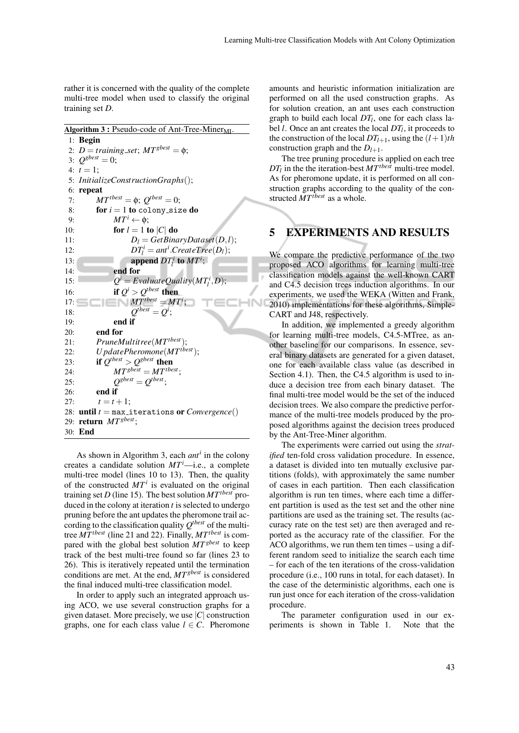rather it is concerned with the quality of the complete multi-tree model when used to classify the original training set *D*.

Algorithm 3 : Pseudo-code of Ant-Tree-Miner<sub>MI</sub> 1: Begin 2:  $D = training\_set$ ;  $MT^{gbest} = \phi$ ; 3:  $Q^{gbest} = 0;$ 4:  $t = 1$ ; 5: *InitializeConstructionGraphs*(); 6: repeat 7:  $MT^{thest} = \phi$ ;  $Q^{thest} = 0$ ; 8: **for**  $i = 1$  to colony size do 9:  $MT^{i} \leftarrow \phi$ ; 10: **for**  $l = 1$  to  $|C|$  do 11:  $D_l = GetBinaryDataset(D, l);$ 12:  $DT_l^i = ant^i.CreateTree(D_l);$ 13: **append**  $DT_l^i$  to  $MT^i$ ; 14: end for 15: *Q*  $\hat{H} = E$ *valuateQuality*( $MT_l^i, D$ ); 16: **if**  $Q^i > Q^{tbest}$  then 17:  $M T^{tbest} = M T^i;$ 18: *Q*  $^{tbest} = Q^i;$ 19: end if 20: end for 21: *PruneMultitree*(*MTtbest*); 22: *U pdatePheromone*(*MTtbest*); 23: **if**  $Q^{tbest} > Q^{sbest}$  then 24:  $MT^{gbest} = MT^{tbest};$ 25: *Q*  $g_{best} = Q^{tbest}$ ; 26: end if 27:  $t = t + 1;$ 28: **until**  $t = max$  iterations or *Convergence*() 29: return *MTgbest*; 30: End

As shown in Algorithm 3, each *ant<sup>i</sup>* in the colony creates a candidate solution  $MT<sup>i</sup>$ —i.e., a complete multi-tree model (lines 10 to 13). Then, the quality of the constructed  $MT<sup>i</sup>$  is evaluated on the original training set *D* (line 15). The best solution *MTtbest* produced in the colony at iteration *t* is selected to undergo pruning before the ant updates the pheromone trail according to the classification quality  $Q^{tbest}$  of the multitree *MTtbest* (line 21 and 22). Finally, *MTtbest* is compared with the global best solution *MTgbest* to keep track of the best multi-tree found so far (lines 23 to 26). This is iteratively repeated until the termination conditions are met. At the end, *MTgbest* is considered the final induced multi-tree classification model.

In order to apply such an integrated approach using ACO, we use several construction graphs for a given dataset. More precisely, we use |*C*| construction graphs, one for each class value  $l \in C$ . Pheromone

amounts and heuristic information initialization are performed on all the used construction graphs. As for solution creation, an ant uses each construction graph to build each local *DT<sup>l</sup>* , one for each class label *l*. Once an ant creates the local *DT<sup>l</sup>* , it proceeds to the construction of the local  $DT_{l+1}$ , using the  $(l+1)$ *th* construction graph and the  $D_{l+1}$ .

The tree pruning procedure is applied on each tree *DT<sup>l</sup>* in the the iteration-best *MTtbest* multi-tree model. As for pheromone update, it is performed on all construction graphs according to the quality of the constructed *MTtbest* as a whole.

## 5 EXPERIMENTS AND RESULTS

We compare the predictive performance of the two proposed ACO algorithms for learning multi-tree classification models against the well-known CART and C4.5 decision trees induction algorithms. In our experiments, we used the WEKA (Witten and Frank, 2010) implementations for these algorithms, Simple-CART and J48, respectively.

In addition, we implemented a greedy algorithm for learning multi-tree models, C4.5-MTree, as another baseline for our comparisons. In essence, several binary datasets are generated for a given dataset, one for each available class value (as described in Section 4.1). Then, the C4.5 algorithm is used to induce a decision tree from each binary dataset. The final multi-tree model would be the set of the induced decision trees. We also compare the predictive performance of the multi-tree models produced by the proposed algorithms against the decision trees produced by the Ant-Tree-Miner algorithm.

The experiments were carried out using the *stratified* ten-fold cross validation procedure. In essence, a dataset is divided into ten mutually exclusive partitions (folds), with approximately the same number of cases in each partition. Then each classification algorithm is run ten times, where each time a different partition is used as the test set and the other nine partitions are used as the training set. The results (accuracy rate on the test set) are then averaged and reported as the accuracy rate of the classifier. For the ACO algorithms, we run them ten times – using a different random seed to initialize the search each time – for each of the ten iterations of the cross-validation procedure (i.e., 100 runs in total, for each dataset). In the case of the deterministic algorithms, each one is run just once for each iteration of the cross-validation procedure.

The parameter configuration used in our experiments is shown in Table 1. Note that the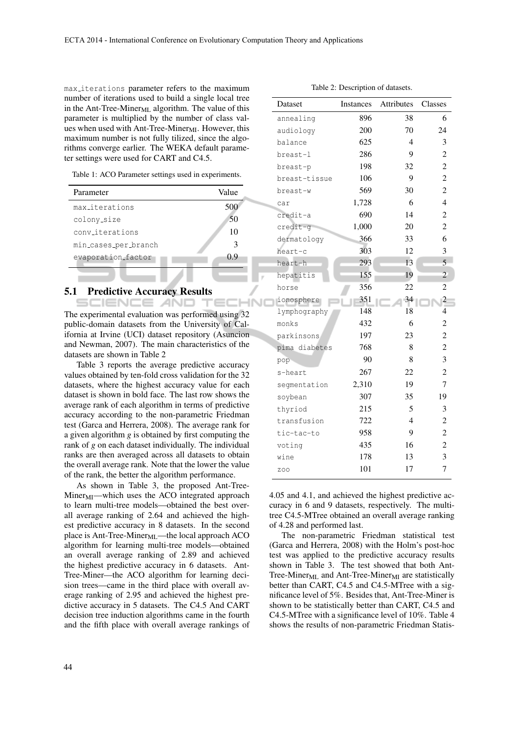max iterations parameter refers to the maximum number of iterations used to build a single local tree in the Ant-Tree-Miner<sub>ML</sub> algorithm. The value of this parameter is multiplied by the number of class values when used with Ant-Tree-Miner<sub>MI</sub>. However, this maximum number is not fully tilized, since the algorithms converge earlier. The WEKA default parameter settings were used for CART and C4.5.

Table 1: ACO Parameter settings used in experiments.

| Parameter            | Value         |
|----------------------|---------------|
| max_iterations       | 500           |
| colony_size          | 50            |
| conviterations       | 10            |
| min_cases_per_branch | $\mathcal{R}$ |
| evaporation_factor   | 09            |

#### 5.1 Predictive Accuracy Results

SCIENCE *A*ND The experimental evaluation was performed using 32 public-domain datasets from the University of California at Irvine (UCI) dataset repository (Asuncion and Newman, 2007). The main characteristics of the datasets are shown in Table 2

Table 3 reports the average predictive accuracy values obtained by ten-fold cross validation for the 32 datasets, where the highest accuracy value for each dataset is shown in bold face. The last row shows the average rank of each algorithm in terms of predictive accuracy according to the non-parametric Friedman test (Garca and Herrera, 2008). The average rank for a given algorithm *g* is obtained by first computing the rank of *g* on each dataset individually. The individual ranks are then averaged across all datasets to obtain the overall average rank. Note that the lower the value of the rank, the better the algorithm performance.

As shown in Table 3, the proposed Ant-Tree- $Miner_{MI}$ —which uses the ACO integrated approach to learn multi-tree models—obtained the best overall average ranking of 2.64 and achieved the highest predictive accuracy in 8 datasets. In the second place is Ant-Tree-Miner $_{ML}$ —the local approach ACO algorithm for learning multi-tree models—obtained an overall average ranking of 2.89 and achieved the highest predictive accuracy in 6 datasets. Ant-Tree-Miner—the ACO algorithm for learning decision trees—came in the third place with overall average ranking of 2.95 and achieved the highest predictive accuracy in 5 datasets. The C4.5 And CART decision tree induction algorithms came in the fourth and the fifth place with overall average rankings of

| Dataset       | <b>Instances</b> | Attributes | Classes                  |
|---------------|------------------|------------|--------------------------|
| annealing     | 896              | 38         | 6                        |
| audiology     | 200              | 70         | 24                       |
| balance       | 625              | 4          | 3                        |
| breast-1      | 286              | 9          | $\overline{c}$           |
| breast-p      | 198              | 32         | $\overline{c}$           |
| breast-tissue | 106              | 9          | $\overline{2}$           |
| breast-w      | 569              | 30         | $\overline{c}$           |
| car           | 1,728            | 6          | 4                        |
| credit-a      | 690              | 14         | $\overline{c}$           |
| credit-g      | 1,000            | 20         | $\overline{c}$           |
| dermatology   | 366              | 33         | 6                        |
| heart-c       | 303              | 12         | 3                        |
| heart-h       | 293              | 13         | 5                        |
| hepatitis     | 155              | 19         | $\overline{c}$           |
| horse         | 356              | 22         | $\overline{c}$           |
| ionosphere    | 351              | 34         | $\overline{c}$           |
| lymphography  | 148              | 18         | $\overline{\mathcal{L}}$ |
| monks         | 432              | 6          | $\overline{2}$           |
| parkinsons    | 197              | 23         | $\overline{c}$           |
| pima diabetes | 768              | 8          | $\overline{c}$           |
| pop           | 90               | 8          | 3                        |
| s-heart       | 267              | 22         | $\overline{c}$           |
| seqmentation  | 2,310            | 19         | 7                        |
| soybean       | 307              | 35         | 19                       |
| thyriod       | 215              | 5          | 3                        |
| transfusion   | 722              | 4          | $\overline{c}$           |
| tic-tac-to    | 958              | 9          | $\overline{c}$           |
| voting        | 435              | 16         | $\overline{c}$           |
| wine          | 178              | 13         | 3                        |
| ZOO           | 101              | 17         | 7                        |

4.05 and 4.1, and achieved the highest predictive accuracy in 6 and 9 datasets, respectively. The multitree C4.5-MTree obtained an overall average ranking of 4.28 and performed last.

The non-parametric Friedman statistical test (Garca and Herrera, 2008) with the Holm's post-hoc test was applied to the predictive accuracy results shown in Table 3. The test showed that both Ant-Tree-Miner<sub>ML</sub> and Ant-Tree-Miner<sub>MI</sub> are statistically better than CART, C4.5 and C4.5-MTree with a significance level of 5%. Besides that, Ant-Tree-Miner is shown to be statistically better than CART, C4.5 and C4.5-MTree with a significance level of 10%. Table 4 shows the results of non-parametric Friedman Statis-

Table 2: Description of datasets.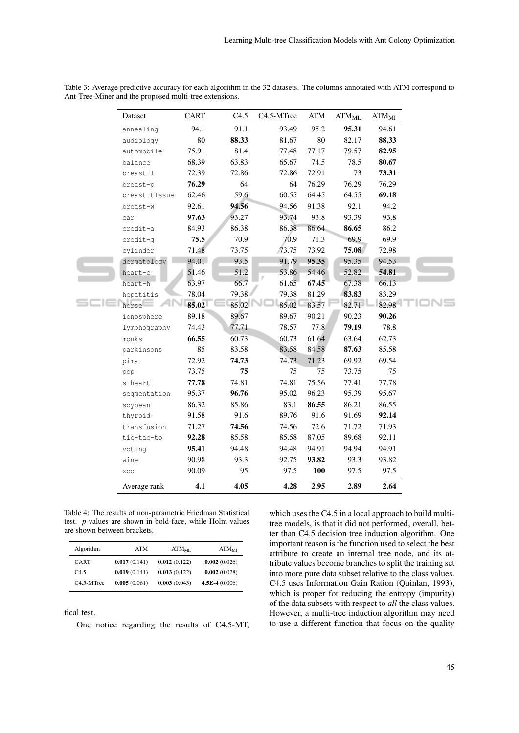| Dataset       | CART   | C4.5  | C <sub>4.5</sub> -MTree | ATM    | ATM <sub>ML</sub> | ATM <sub>MI</sub> |
|---------------|--------|-------|-------------------------|--------|-------------------|-------------------|
| annealing     | 94.1   | 91.1  | 93.49                   | 95.2   | 95.31             | 94.61             |
| audiology     | $80\,$ | 88.33 | 81.67                   | $80\,$ | 82.17             | 88.33             |
| automobile    | 75.91  | 81.4  | 77.48                   | 77.17  | 79.57             | 82.95             |
| balance       | 68.39  | 63.83 | 65.67                   | 74.5   | 78.5              | 80.67             |
| breast-1      | 72.39  | 72.86 | 72.86                   | 72.91  | 73                | 73.31             |
| breast-p      | 76.29  | 64    | 64                      | 76.29  | 76.29             | 76.29             |
| breast-tissue | 62.46  | 59.6  | 60.55                   | 64.45  | 64.55             | 69.18             |
| breast-w      | 92.61  | 94.56 | 94.56                   | 91.38  | 92.1              | 94.2              |
| car           | 97.63  | 93.27 | 93.74                   | 93.8   | 93.39             | 93.8              |
| credit-a      | 84.93  | 86.38 | 86.38                   | 86.64  | 86.65             | 86.2              |
| credit-q      | 75.5   | 70.9  | 70.9                    | 71.3   | 69.9              | 69.9              |
| cylinder      | 71.48  | 73.75 | 73.75                   | 73.92  | 75.08             | 72.98             |
| dermatology   | 94.01  | 93.5  | 91.79                   | 95.35  | 95.35             | 94.53             |
| heart-c       | 51.46  | 51.2  | 53.86                   | 54.46  | 52.82             | 54.81             |
| heart-h       | 63.97  | 66.7  | 61.65                   | 67.45  | 67.38             | 66.13             |
| hepatitis     | 78.04  | 79.38 | 79.38                   | 81.29  | 83.83             | 83.29             |
| horse         | 85.02  | 85.02 | 85.02                   | 83.57  | 82.71             | 82.98             |
| ionosphere    | 89.18  | 89.67 | 89.67                   | 90.21  | 90.23             | 90.26             |
| lymphography  | 74.43  | 77.71 | 78.57                   | 77.8   | 79.19             | 78.8              |
| monks         | 66.55  | 60.73 | 60.73                   | 61.64  | 63.64             | 62.73             |
| parkinsons    | 85     | 83.58 | 83.58                   | 84.58  | 87.63             | 85.58             |
| pima          | 72.92  | 74.73 | 74.73                   | 71.23  | 69.92             | 69.54             |
| pop           | 73.75  | 75    | 75                      | 75     | 73.75             | 75                |
| s-heart       | 77.78  | 74.81 | 74.81                   | 75.56  | 77.41             | 77.78             |
| segmentation  | 95.37  | 96.76 | 95.02                   | 96.23  | 95.39             | 95.67             |
| soybean       | 86.32  | 85.86 | 83.1                    | 86.55  | 86.21             | 86.55             |
| thyroid       | 91.58  | 91.6  | 89.76                   | 91.6   | 91.69             | 92.14             |
| transfusion   | 71.27  | 74.56 | 74.56                   | 72.6   | 71.72             | 71.93             |
| tic-tac-to    | 92.28  | 85.58 | 85.58                   | 87.05  | 89.68             | 92.11             |
| voting        | 95.41  | 94.48 | 94.48                   | 94.91  | 94.94             | 94.91             |
| wine          | 90.98  | 93.3  | 92.75                   | 93.82  | 93.3              | 93.82             |
| ZOO           | 90.09  | 95    | 97.5                    | 100    | 97.5              | 97.5              |
| Average rank  | 4.1    | 4.05  | 4.28                    | 2.95   | 2.89              | 2.64              |

Table 3: Average predictive accuracy for each algorithm in the 32 datasets. The columns annotated with ATM correspond to Ant-Tree-Miner and the proposed multi-tree extensions.

Table 4: The results of non-parametric Friedman Statistical test. *p*-values are shown in bold-face, while Holm values are shown between brackets.

| Algorithm               | ATM          | $ATM_{MI}$   | ATM <sub>MI</sub> |
|-------------------------|--------------|--------------|-------------------|
| <b>CART</b>             | 0.017(0.141) | 0.012(0.122) | 0.002(0.026)      |
| C45                     | 0.019(0.141) | 0.013(0.122) | 0.002(0.028)      |
| C <sub>4.5</sub> -MTree | 0.005(0.061) | 0.003(0.043) | $4.5E-4(0.006)$   |

tical test.

One notice regarding the results of C4.5-MT,

which uses the C4.5 in a local approach to build multitree models, is that it did not performed, overall, better than C4.5 decision tree induction algorithm. One important reason is the function used to select the best attribute to create an internal tree node, and its attribute values become branches to split the training set into more pure data subset relative to the class values. C4.5 uses Information Gain Ration (Quinlan, 1993), which is proper for reducing the entropy (impurity) of the data subsets with respect to *all* the class values. However, a multi-tree induction algorithm may need to use a different function that focus on the quality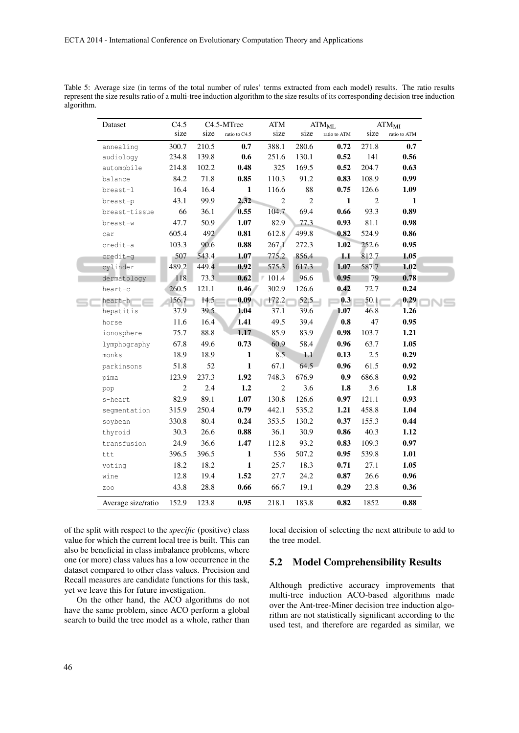| Dataset            | C4.5         | C4.5-MTree |                     | ATM            |        | ATM <sub>ML</sub>         | ATM <sub>MI</sub> |              |  |
|--------------------|--------------|------------|---------------------|----------------|--------|---------------------------|-------------------|--------------|--|
|                    | size         | size       | ratio to C4.5       | size           | size   | ratio to ATM              | size              | ratio to ATM |  |
| annealing          | 300.7        | 210.5      | 0.7                 | 388.1          | 280.6  | 0.72                      | 271.8             | 0.7          |  |
| audiology          | 234.8        | 139.8      | 0.6                 | 251.6          | 130.1  | 0.52                      | 141               | 0.56         |  |
| automobile         | 214.8        | 102.2      | 0.48                | 325            | 169.5  | 0.52                      | 204.7             | 0.63         |  |
| balance            | 84.2         | 71.8       | 0.85                | 110.3          | 91.2   | 0.83                      | 108.9             | 0.99         |  |
| breast-1           | 16.4         | 16.4       | $\mathbf{1}$        | 116.6          | $88\,$ | 0.75                      | 126.6             | 1.09         |  |
| breast-p           | 43.1         | 99.9       | 2.32                | $\overline{2}$ | 2      | $\mathbf{1}$              | $\overline{2}$    | $\mathbf{1}$ |  |
| breast-tissue      | 66           | 36.1       | 0.55                | 104.7          | 69.4   | 0.66                      | 93.3              | 0.89         |  |
| breast-w           | 47.7         | 50.9       | 1.07                | 82.9           | 77.3   | 0.93                      | 81.1              | 0.98         |  |
| car                | 605.4        | 492        | 0.81                | 612.8          | 499.8  | 0.82                      | 524.9             | 0.86         |  |
| credit-a           | 103.3        | 90.6       | $\boldsymbol{0.88}$ | 267.1          | 272.3  | 1.02                      | 252.6             | 0.95         |  |
| credit-q           | 507          | 543.4      | 1.07                | 775.2          | 856.4  | 1.1                       | 812.7             | 1.05         |  |
| cylinder           | 489.2        | 449.4      | 0.92                | 575.3          | 617.3  | 1.07                      | 587.7             | 1.02         |  |
| dermatology        | 118          | 73.3       | 0.62                | 101.4          | 96.6   | 0.95                      | 79                | 0.78         |  |
| heart-c            | 260.5        | 121.1      | 0.46                | 302.9          | 126.6  | 0.42                      | 72.7              | 0.24         |  |
| heart-h            | 156.7        | 14.5       | 0.09                | 172.2          | 52.5   | $\overline{\mathbf{0.3}}$ | 50.1              | 0.29         |  |
| hepatitis          | 37.9         | 39.5       | 1.04                | 37.1           | 39.6   | 1.07                      | 46.8              | 1.26         |  |
| horse              | 11.6         | 16.4       | 1.41                | 49.5           | 39.4   | $0.8\,$                   | 47                | 0.95         |  |
| ionosphere         | 75.7         | 88.8       | 1.17                | 85.9           | 83.9   | 0.98                      | 103.7             | 1.21         |  |
| lymphography       | 67.8         | 49.6       | 0.73                | 60.9           | 58.4   | 0.96                      | 63.7              | 1.05         |  |
| monks              | 18.9         | 18.9       | $\mathbf{1}$        | 8.5            | 1.1    | 0.13                      | 2.5               | 0.29         |  |
| parkinsons         | 51.8         | 52         | $\mathbf{1}$        | 67.1           | 64.5   | 0.96                      | 61.5              | 0.92         |  |
| pima               | 123.9        | 237.3      | 1.92                | 748.3          | 676.9  | 0.9                       | 686.8             | 0.92         |  |
| pop                | $\mathbf{2}$ | 2.4        | 1.2                 | $\overline{2}$ | 3.6    | 1.8                       | 3.6               | 1.8          |  |
| s-heart            | 82.9         | 89.1       | 1.07                | 130.8          | 126.6  | 0.97                      | 121.1             | 0.93         |  |
| segmentation       | 315.9        | 250.4      | 0.79                | 442.1          | 535.2  | 1.21                      | 458.8             | 1.04         |  |
| soybean            | 330.8        | 80.4       | 0.24                | 353.5          | 130.2  | 0.37                      | 155.3             | 0.44         |  |
| thyroid            | 30.3         | 26.6       | 0.88                | 36.1           | 30.9   | 0.86                      | 40.3              | 1.12         |  |
| transfusion        | 24.9         | 36.6       | 1.47                | 112.8          | 93.2   | 0.83                      | 109.3             | 0.97         |  |
| ttt                | 396.5        | 396.5      | $\mathbf{1}$        | 536            | 507.2  | 0.95                      | 539.8             | 1.01         |  |
| voting             | 18.2         | 18.2       | $\mathbf{1}$        | 25.7           | 18.3   | 0.71                      | 27.1              | 1.05         |  |
| wine               | 12.8         | 19.4       | 1.52                | 27.7           | 24.2   | 0.87                      | 26.6              | 0.96         |  |
| ZOO                | 43.8         | 28.8       | 0.66                | 66.7           | 19.1   | 0.29                      | 23.8              | 0.36         |  |
| Average size/ratio | 152.9        | 123.8      | 0.95                | 218.1          | 183.8  | 0.82                      | 1852              | 0.88         |  |

Table 5: Average size (in terms of the total number of rules' terms extracted from each model) results. The ratio results represent the size results ratio of a multi-tree induction algorithm to the size results of its corresponding decision tree induction algorithm.

of the split with respect to the *specific* (positive) class value for which the current local tree is built. This can also be beneficial in class imbalance problems, where one (or more) class values has a low occurrence in the dataset compared to other class values. Precision and Recall measures are candidate functions for this task, yet we leave this for future investigation.

On the other hand, the ACO algorithms do not have the same problem, since ACO perform a global search to build the tree model as a whole, rather than

local decision of selecting the next attribute to add to the tree model.

#### 5.2 Model Comprehensibility Results

Although predictive accuracy improvements that multi-tree induction ACO-based algorithms made over the Ant-tree-Miner decision tree induction algorithm are not statistically significant according to the used test, and therefore are regarded as similar, we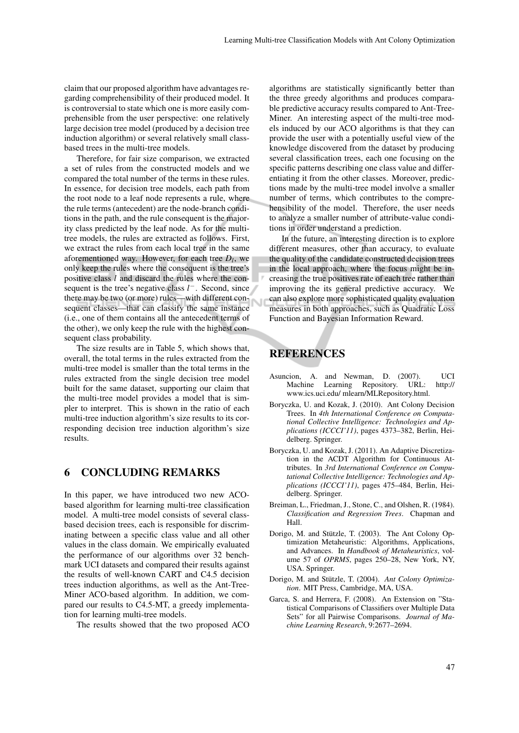claim that our proposed algorithm have advantages regarding comprehensibility of their produced model. It is controversial to state which one is more easily comprehensible from the user perspective: one relatively large decision tree model (produced by a decision tree induction algorithm) or several relatively small classbased trees in the multi-tree models.

Therefore, for fair size comparison, we extracted a set of rules from the constructed models and we compared the total number of the terms in these rules. In essence, for decision tree models, each path from the root node to a leaf node represents a rule, where the rule terms (antecedent) are the node-branch conditions in the path, and the rule consequent is the majority class predicted by the leaf node. As for the multitree models, the rules are extracted as follows. First, we extract the rules from each local tree in the same aforementioned way. However, for each tree *D<sup>l</sup>* , we only keep the rules where the consequent is the tree's positive class *l* and discard the rules where the consequent is the tree's negative class *l*<sup>−</sup>. Second, since there may be two (or more) rules—with different consequent classes—that can classify the same instance (i.e., one of them contains all the antecedent terms of the other), we only keep the rule with the highest consequent class probability.

The size results are in Table 5, which shows that, overall, the total terms in the rules extracted from the multi-tree model is smaller than the total terms in the rules extracted from the single decision tree model built for the same dataset, supporting our claim that the multi-tree model provides a model that is simpler to interpret. This is shown in the ratio of each multi-tree induction algorithm's size results to its corresponding decision tree induction algorithm's size results.

# 6 CONCLUDING REMARKS

In this paper, we have introduced two new ACObased algorithm for learning multi-tree classification model. A multi-tree model consists of several classbased decision trees, each is responsible for discriminating between a specific class value and all other values in the class domain. We empirically evaluated the performance of our algorithms over 32 benchmark UCI datasets and compared their results against the results of well-known CART and C4.5 decision trees induction algorithms, as well as the Ant-Tree-Miner ACO-based algorithm. In addition, we compared our results to C4.5-MT, a greedy implementation for learning multi-tree models.

The results showed that the two proposed ACO

algorithms are statistically significantly better than the three greedy algorithms and produces comparable predictive accuracy results compared to Ant-Tree-Miner. An interesting aspect of the multi-tree models induced by our ACO algorithms is that they can provide the user with a potentially useful view of the knowledge discovered from the dataset by producing several classification trees, each one focusing on the specific patterns describing one class value and differentiating it from the other classes. Moreover, predictions made by the multi-tree model involve a smaller number of terms, which contributes to the comprehensibility of the model. Therefore, the user needs to analyze a smaller number of attribute-value conditions in order understand a prediction.

In the future, an interesting direction is to explore different measures, other than accuracy, to evaluate the quality of the candidate constructed decision trees in the local approach, where the focus might be increasing the true positives rate of each tree rather than improving the its general predictive accuracy. We can also explore more sophisticated quality evaluation measures in both approaches, such as Quadratic Loss Function and Bayesian Information Reward.

#### REFERENCES

- Asuncion, A. and Newman, D. (2007). UCI Machine Learning Repository. URL: http:// www.ics.uci.edu/ mlearn/MLRepository.html.
- Boryczka, U. and Kozak, J. (2010). Ant Colony Decision Trees. In *4th International Conference on Computational Collective Intelligence: Technologies and Applications (ICCCI'11)*, pages 4373–382, Berlin, Heidelberg. Springer.
- Boryczka, U. and Kozak, J. (2011). An Adaptive Discretization in the ACDT Algorithm for Continuous Attributes. In *3rd International Conference on Computational Collective Intelligence: Technologies and Applications (ICCCI'11)*, pages 475–484, Berlin, Heidelberg. Springer.
- Breiman, L., Friedman, J., Stone, C., and Olshen, R. (1984). *Classification and Regression Trees*. Chapman and Hall.
- Dorigo, M. and Stützle, T. (2003). The Ant Colony Optimization Metaheuristic: Algorithms, Applications, and Advances. In *Handbook of Metaheuristics*, volume 57 of *OPRMS*, pages 250–28, New York, NY, USA. Springer.
- Dorigo, M. and Stützle, T. (2004). Ant Colony Optimiza*tion*. MIT Press, Cambridge, MA, USA.
- Garca, S. and Herrera, F. (2008). An Extension on "Statistical Comparisons of Classifiers over Multiple Data Sets" for all Pairwise Comparisons. *Journal of Machine Learning Research*, 9:2677–2694.